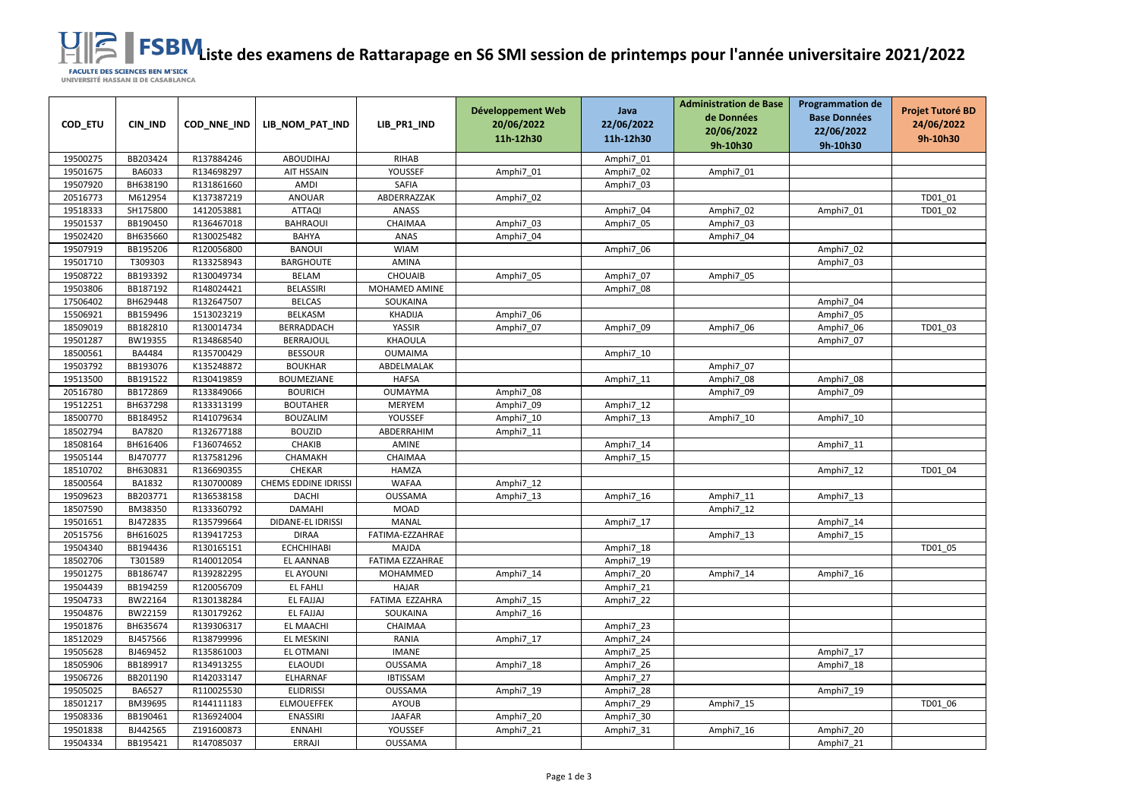**LISTE DE RATTARA ESPEN ES DE RATTARA EN CONSTABLANCA**<br>UNIVERSITÉ HASSAN II DE CASABLANCA

| COD_ETU  | CIN_IND       | COD_NNE_IND | LIB_NOM_PAT_IND      | LIB_PR1_IND     | Développement Web<br>20/06/2022 | Java<br>22/06/2022 | <b>Administration de Base</b><br>de Données<br>20/06/2022 | <b>Programmation de</b><br><b>Base Données</b><br>22/06/2022 | <b>Projet Tutoré BD</b><br>24/06/2022 |
|----------|---------------|-------------|----------------------|-----------------|---------------------------------|--------------------|-----------------------------------------------------------|--------------------------------------------------------------|---------------------------------------|
|          |               |             |                      |                 | 11h-12h30                       | 11h-12h30          | 9h-10h30                                                  | 9h-10h30                                                     | 9h-10h30                              |
| 19500275 | BB203424      | R137884246  | <b>ABOUDIHAJ</b>     | <b>RIHAB</b>    |                                 | Amphi7_01          |                                                           |                                                              |                                       |
| 19501675 | BA6033        | R134698297  | AIT HSSAIN           | YOUSSEF         | Amphi7_01                       | Amphi7_02          | Amphi7_01                                                 |                                                              |                                       |
| 19507920 | BH638190      | R131861660  | <b>AMDI</b>          | <b>SAFIA</b>    |                                 | Amphi7_03          |                                                           |                                                              |                                       |
| 20516773 | M612954       | K137387219  | <b>ANOUAR</b>        | ABDERRAZZAK     | Amphi7_02                       |                    |                                                           |                                                              | TD01_01                               |
| 19518333 | SH175800      | 1412053881  | <b>ATTAQI</b>        | <b>ANASS</b>    |                                 | Amphi7 04          | Amphi7_02                                                 | Amphi7_01                                                    | TD01 02                               |
| 19501537 | BB190450      | R136467018  | <b>BAHRAOUI</b>      | CHAIMAA         | Amphi7_03                       | Amphi7_05          | Amphi7_03                                                 |                                                              |                                       |
| 19502420 | BH635660      | R130025482  | <b>BAHYA</b>         | ANAS            | Amphi7_04                       |                    | Amphi7_04                                                 |                                                              |                                       |
| 19507919 | BB195206      | R120056800  | <b>BANOUI</b>        | <b>WIAM</b>     |                                 | Amphi7_06          |                                                           | Amphi7_02                                                    |                                       |
| 19501710 | T309303       | R133258943  | <b>BARGHOUTE</b>     | <b>AMINA</b>    |                                 |                    |                                                           | Amphi7_03                                                    |                                       |
| 19508722 | BB193392      | R130049734  | <b>BELAM</b>         | <b>CHOUAIB</b>  | Amphi7_05                       | Amphi7_07          | Amphi7_05                                                 |                                                              |                                       |
| 19503806 | BB187192      | R148024421  | <b>BELASSIRI</b>     | MOHAMED AMINE   |                                 | Amphi7_08          |                                                           |                                                              |                                       |
| 17506402 | BH629448      | R132647507  | <b>BELCAS</b>        | SOUKAINA        |                                 |                    |                                                           | Amphi7 04                                                    |                                       |
| 15506921 | BB159496      | 1513023219  | <b>BELKASM</b>       | <b>KHADIJA</b>  | Amphi7_06                       |                    |                                                           | Amphi7_05                                                    |                                       |
| 18509019 | BB182810      | R130014734  | BERRADDACH           | YASSIR          | Amphi7_07                       | Amphi7_09          | Amphi7_06                                                 | Amphi7_06                                                    | TD01 03                               |
| 19501287 | BW19355       | R134868540  | <b>BERRAJOUL</b>     | KHAOULA         |                                 |                    |                                                           | Amphi7_07                                                    |                                       |
| 18500561 | BA4484        | R135700429  | <b>BESSOUR</b>       | <b>OUMAIMA</b>  |                                 | Amphi7_10          |                                                           |                                                              |                                       |
| 19503792 | BB193076      | K135248872  | <b>BOUKHAR</b>       | ABDELMALAK      |                                 |                    | Amphi7_07                                                 |                                                              |                                       |
| 19513500 | BB191522      | R130419859  | <b>BOUMEZIANE</b>    | <b>HAFSA</b>    |                                 | Amphi7_11          | Amphi7_08                                                 | Amphi7_08                                                    |                                       |
| 20516780 | BB172869      | R133849066  | <b>BOURICH</b>       | <b>OUMAYMA</b>  | Amphi7_08                       |                    | Amphi7_09                                                 | Amphi7_09                                                    |                                       |
| 19512251 | BH637298      | R133313199  | <b>BOUTAHER</b>      | <b>MERYEM</b>   | Amphi7 09                       | Amphi7_12          |                                                           |                                                              |                                       |
| 18500770 | BB184952      | R141079634  | <b>BOUZALIM</b>      | YOUSSEF         | Amphi7_10                       | Amphi7_13          | Amphi7_10                                                 | Amphi7_10                                                    |                                       |
| 18502794 | <b>BA7820</b> | R132677188  | <b>BOUZID</b>        | ABDERRAHIM      | Amphi7_11                       |                    |                                                           |                                                              |                                       |
| 18508164 | BH616406      | F136074652  | <b>CHAKIB</b>        | AMINE           |                                 | Amphi7_14          |                                                           | Amphi7_11                                                    |                                       |
| 19505144 | BJ470777      | R137581296  | CHAMAKH              | CHAIMAA         |                                 | Amphi7 15          |                                                           |                                                              |                                       |
| 18510702 | BH630831      | R136690355  | <b>CHEKAR</b>        | <b>HAMZA</b>    |                                 |                    |                                                           | Amphi7_12                                                    | TD01 04                               |
| 18500564 | BA1832        | R130700089  | CHEMS EDDINE IDRISSI | <b>WAFAA</b>    | Amphi7_12                       |                    |                                                           |                                                              |                                       |
| 19509623 | BB203771      | R136538158  | <b>DACHI</b>         | <b>OUSSAMA</b>  | Amphi7_13                       | Amphi7_16          | Amphi7_11                                                 | Amphi7_13                                                    |                                       |
| 18507590 | BM38350       | R133360792  | <b>DAMAHI</b>        | <b>MOAD</b>     |                                 |                    | Amphi7_12                                                 |                                                              |                                       |
| 19501651 | BJ472835      | R135799664  | DIDANE-EL IDRISSI    | MANAL           |                                 | Amphi7_17          |                                                           | Amphi7_14                                                    |                                       |
| 20515756 | BH616025      | R139417253  | <b>DIRAA</b>         | FATIMA-EZZAHRAE |                                 |                    | Amphi7_13                                                 | Amphi7_15                                                    |                                       |
| 19504340 | BB194436      | R130165151  | <b>ECHCHIHABI</b>    | MAJDA           |                                 | Amphi7 18          |                                                           |                                                              | TD01 05                               |
| 18502706 | T301589       | R140012054  | EL AANNAB            | FATIMA EZZAHRAE |                                 | Amphi7_19          |                                                           |                                                              |                                       |
| 19501275 | BB186747      | R139282295  | EL AYOUNI            | MOHAMMED        | Amphi7 14                       | Amphi7_20          | Amphi7_14                                                 | Amphi7_16                                                    |                                       |
| 19504439 | BB194259      | R120056709  | EL FAHLI             | HAJAR           |                                 | Amphi7_21          |                                                           |                                                              |                                       |
| 19504733 | BW22164       | R130138284  | <b>EL FAJJAJ</b>     | FATIMA EZZAHRA  | Amphi7 15                       | Amphi7_22          |                                                           |                                                              |                                       |
| 19504876 | BW22159       | R130179262  | <b>EL FAJJAJ</b>     | SOUKAINA        | Amphi7 16                       |                    |                                                           |                                                              |                                       |
| 19501876 | BH635674      | R139306317  | EL MAACHI            | CHAIMAA         |                                 | Amphi7_23          |                                                           |                                                              |                                       |
| 18512029 | BJ457566      | R138799996  | EL MESKINI           | RANIA           | Amphi7_17                       | Amphi7_24          |                                                           |                                                              |                                       |
| 19505628 | BJ469452      | R135861003  | EL OTMANI            | <b>IMANE</b>    |                                 | Amphi7_25          |                                                           | Amphi7_17                                                    |                                       |
| 18505906 | BB189917      | R134913255  | <b>ELAOUDI</b>       | <b>OUSSAMA</b>  | Amphi7_18                       | Amphi7_26          |                                                           | Amphi7_18                                                    |                                       |
| 19506726 | BB201190      | R142033147  | ELHARNAF             | <b>IBTISSAM</b> |                                 | Amphi7_27          |                                                           |                                                              |                                       |
| 19505025 | BA6527        | R110025530  | <b>ELIDRISSI</b>     | <b>OUSSAMA</b>  | Amphi7_19                       | Amphi7_28          |                                                           | Amphi7_19                                                    |                                       |
| 18501217 | BM39695       | R144111183  | <b>ELMOUEFFEK</b>    | <b>AYOUB</b>    |                                 | Amphi7_29          | Amphi7_15                                                 |                                                              | TD01 06                               |
| 19508336 | BB190461      | R136924004  | <b>ENASSIRI</b>      | <b>JAAFAR</b>   | Amphi7_20                       | Amphi7_30          |                                                           |                                                              |                                       |
| 19501838 | BJ442565      | Z191600873  | <b>ENNAHI</b>        | YOUSSEF         | Amphi7_21                       | Amphi7_31          | Amphi7_16                                                 | Amphi7_20                                                    |                                       |
| 19504334 | BB195421      | R147085037  | ERRAJI               | OUSSAMA         |                                 |                    |                                                           | Amphi7_21                                                    |                                       |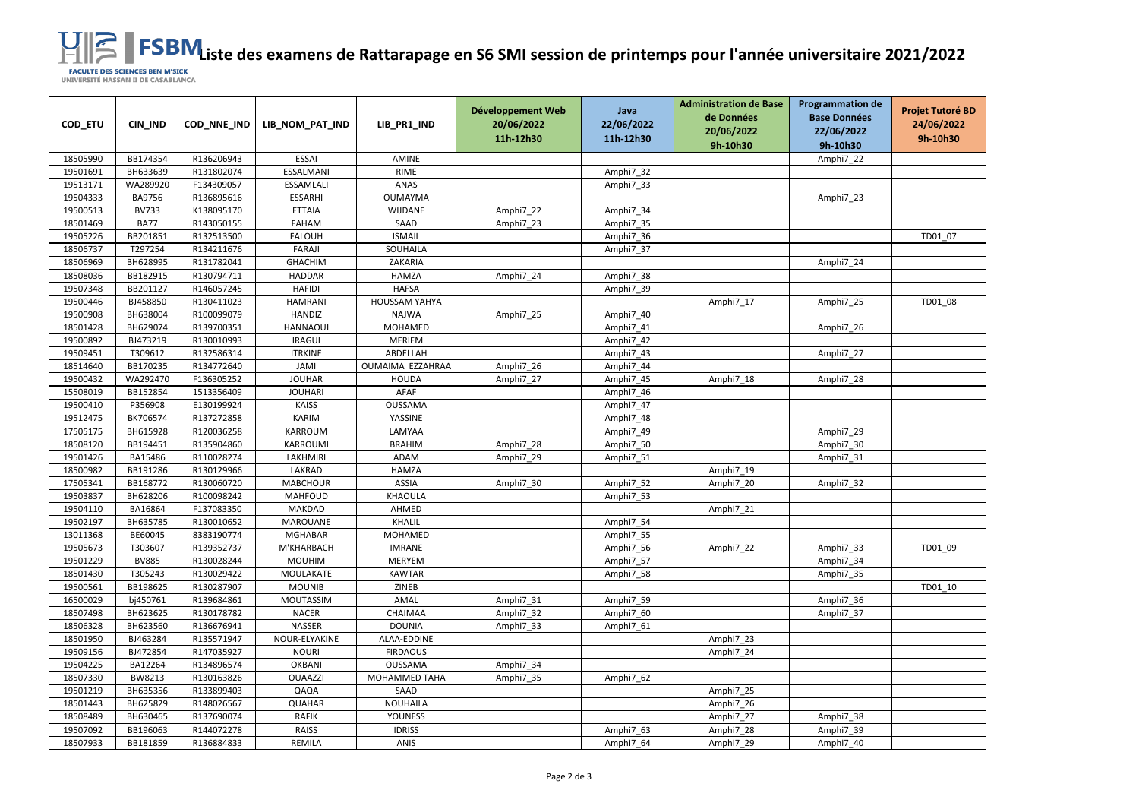**LISTE DE RATTARA ESPEN ES DE RATTARA EN CONSTABLANCA**<br>UNIVERSITÉ HASSAN II DE CASABLANCA

| COD_ETU  | CIN_IND      | COD_NNE_IND | LIB_NOM_PAT_IND | LIB_PR1_IND          | Développement Web<br>20/06/2022<br>11h-12h30 | Java<br>22/06/2022<br>11h-12h30 | <b>Administration de Base</b><br>de Données<br>20/06/2022<br>9h-10h30 | <b>Programmation de</b><br><b>Base Données</b><br>22/06/2022<br>9h-10h30 | <b>Projet Tutoré BD</b><br>24/06/2022<br>9h-10h30 |
|----------|--------------|-------------|-----------------|----------------------|----------------------------------------------|---------------------------------|-----------------------------------------------------------------------|--------------------------------------------------------------------------|---------------------------------------------------|
| 18505990 | BB174354     | R136206943  | <b>ESSAI</b>    | <b>AMINE</b>         |                                              |                                 |                                                                       | Amphi7_22                                                                |                                                   |
| 19501691 | BH633639     | R131802074  | ESSALMANI       | <b>RIME</b>          |                                              | Amphi7_32                       |                                                                       |                                                                          |                                                   |
| 19513171 | WA289920     | F134309057  | ESSAMLALI       | ANAS                 |                                              | Amphi7_33                       |                                                                       |                                                                          |                                                   |
| 19504333 | BA9756       | R136895616  | <b>ESSARHI</b>  | <b>OUMAYMA</b>       |                                              |                                 |                                                                       | Amphi7_23                                                                |                                                   |
| 19500513 | <b>BV733</b> | K138095170  | <b>ETTAIA</b>   | <b>WIJDANE</b>       | Amphi7_22                                    | Amphi7 34                       |                                                                       |                                                                          |                                                   |
| 18501469 | <b>BA77</b>  | R143050155  | <b>FAHAM</b>    | SAAD                 | Amphi7_23                                    | Amphi7_35                       |                                                                       |                                                                          |                                                   |
| 19505226 | BB201851     | R132513500  | <b>FALOUH</b>   | <b>ISMAIL</b>        |                                              | Amphi7_36                       |                                                                       |                                                                          | TD01 07                                           |
| 18506737 | T297254      | R134211676  | FARAJI          | SOUHAILA             |                                              | Amphi7_37                       |                                                                       |                                                                          |                                                   |
| 18506969 | BH628995     | R131782041  | <b>GHACHIM</b>  | ZAKARIA              |                                              |                                 |                                                                       | Amphi7_24                                                                |                                                   |
| 18508036 | BB182915     | R130794711  | <b>HADDAR</b>   | <b>HAMZA</b>         | Amphi7_24                                    | Amphi7_38                       |                                                                       |                                                                          |                                                   |
| 19507348 | BB201127     | R146057245  | <b>HAFIDI</b>   | <b>HAFSA</b>         |                                              | Amphi7_39                       |                                                                       |                                                                          |                                                   |
| 19500446 | BJ458850     | R130411023  | <b>HAMRANI</b>  | <b>HOUSSAM YAHYA</b> |                                              |                                 | Amphi7_17                                                             | Amphi7_25                                                                | TD01_08                                           |
| 19500908 | BH638004     | R100099079  | <b>HANDIZ</b>   | <b>NAJWA</b>         | Amphi7_25                                    | Amphi7_40                       |                                                                       |                                                                          |                                                   |
| 18501428 | BH629074     | R139700351  | <b>HANNAOUI</b> | MOHAMED              |                                              | Amphi7_41                       |                                                                       | Amphi7_26                                                                |                                                   |
| 19500892 | BJ473219     | R130010993  | <b>IRAGUI</b>   | <b>MERIEM</b>        |                                              | Amphi7_42                       |                                                                       |                                                                          |                                                   |
| 19509451 | T309612      | R132586314  | <b>ITRKINE</b>  | ABDELLAH             |                                              | Amphi7_43                       |                                                                       | Amphi7_27                                                                |                                                   |
| 18514640 | BB170235     | R134772640  | JAMI            | OUMAIMA EZZAHRAA     | Amphi7_26                                    | Amphi7_44                       |                                                                       |                                                                          |                                                   |
| 19500432 | WA292470     | F136305252  | <b>JOUHAR</b>   | <b>HOUDA</b>         | Amphi7_27                                    | Amphi7_45                       | Amphi7_18                                                             | Amphi7_28                                                                |                                                   |
| 15508019 | BB152854     | 1513356409  | <b>JOUHARI</b>  | AFAF                 |                                              | Amphi7_46                       |                                                                       |                                                                          |                                                   |
| 19500410 | P356908      | E130199924  | <b>KAISS</b>    | <b>OUSSAMA</b>       |                                              | Amphi7 47                       |                                                                       |                                                                          |                                                   |
| 19512475 | BK706574     | R137272858  | <b>KARIM</b>    | YASSINE              |                                              | Amphi7_48                       |                                                                       |                                                                          |                                                   |
| 17505175 | BH615928     | R120036258  | <b>KARROUM</b>  | LAMYAA               |                                              | Amphi7_49                       |                                                                       | Amphi7_29                                                                |                                                   |
| 18508120 | BB194451     | R135904860  | KARROUMI        | <b>BRAHIM</b>        | Amphi7_28                                    | Amphi7_50                       |                                                                       | Amphi7_30                                                                |                                                   |
| 19501426 | BA15486      | R110028274  | LAKHMIRI        | ADAM                 | Amphi7_29                                    | Amphi7_51                       |                                                                       | Amphi7_31                                                                |                                                   |
| 18500982 | BB191286     | R130129966  | LAKRAD          | <b>HAMZA</b>         |                                              |                                 | Amphi7_19                                                             |                                                                          |                                                   |
| 17505341 | BB168772     | R130060720  | <b>MABCHOUR</b> | <b>ASSIA</b>         | Amphi7_30                                    | Amphi7_52                       | Amphi7_20                                                             | Amphi7_32                                                                |                                                   |
| 19503837 | BH628206     | R100098242  | <b>MAHFOUD</b>  | KHAOULA              |                                              | Amphi7_53                       |                                                                       |                                                                          |                                                   |
| 19504110 | BA16864      | F137083350  | <b>MAKDAD</b>   | AHMED                |                                              |                                 | Amphi7_21                                                             |                                                                          |                                                   |
| 19502197 | BH635785     | R130010652  | MAROUANE        | KHALIL               |                                              | Amphi7_54                       |                                                                       |                                                                          |                                                   |
| 13011368 | BE60045      | 8383190774  | MGHABAR         | MOHAMED              |                                              | Amphi7 55                       |                                                                       |                                                                          |                                                   |
| 19505673 | T303607      | R139352737  | M'KHARBACH      | <b>IMRANE</b>        |                                              | Amphi7_56                       | Amphi7_22                                                             | Amphi7_33                                                                | TD01 09                                           |
| 19501229 | <b>BV885</b> | R130028244  | <b>MOUHIM</b>   | MERYEM               |                                              | Amphi7_57                       |                                                                       | Amphi7_34                                                                |                                                   |
| 18501430 | T305243      | R130029422  | MOULAKATE       | <b>KAWTAR</b>        |                                              | Amphi7_58                       |                                                                       | Amphi7_35                                                                |                                                   |
| 19500561 | BB198625     | R130287907  | <b>MOUNIB</b>   | ZINEB                |                                              |                                 |                                                                       |                                                                          | TD01_10                                           |
| 16500029 | bj450761     | R139684861  | MOUTASSIM       | AMAL                 | Amphi7_31                                    | Amphi7_59                       |                                                                       | Amphi7 36                                                                |                                                   |
| 18507498 | BH623625     | R130178782  | <b>NACER</b>    | CHAIMAA              | Amphi7_32                                    | Amphi7_60                       |                                                                       | Amphi7 37                                                                |                                                   |
| 18506328 | BH623560     | R136676941  | NASSER          | <b>DOUNIA</b>        | Amphi7_33                                    | Amphi7_61                       |                                                                       |                                                                          |                                                   |
| 18501950 | BJ463284     | R135571947  | NOUR-ELYAKINE   | ALAA-EDDINE          |                                              |                                 | Amphi7_23                                                             |                                                                          |                                                   |
| 19509156 | BJ472854     | R147035927  | <b>NOURI</b>    | <b>FIRDAOUS</b>      |                                              |                                 | Amphi7_24                                                             |                                                                          |                                                   |
| 19504225 | BA12264      | R134896574  | <b>OKBANI</b>   | <b>OUSSAMA</b>       | Amphi7_34                                    |                                 |                                                                       |                                                                          |                                                   |
| 18507330 | BW8213       | R130163826  | <b>OUAAZZI</b>  | MOHAMMED TAHA        | Amphi7_35                                    | Amphi7_62                       |                                                                       |                                                                          |                                                   |
| 19501219 | BH635356     | R133899403  | QAQA            | SAAD                 |                                              |                                 | Amphi7_25                                                             |                                                                          |                                                   |
| 18501443 | BH625829     | R148026567  | <b>QUAHAR</b>   | <b>NOUHAILA</b>      |                                              |                                 | Amphi7_26                                                             |                                                                          |                                                   |
| 18508489 | BH630465     | R137690074  | <b>RAFIK</b>    | YOUNESS              |                                              |                                 | Amphi7_27                                                             | Amphi7_38                                                                |                                                   |
| 19507092 | BB196063     | R144072278  | <b>RAISS</b>    | <b>IDRISS</b>        |                                              | Amphi7_63                       | Amphi7_28                                                             | Amphi7_39                                                                |                                                   |
| 18507933 | BB181859     | R136884833  | REMILA          | ANIS                 |                                              | Amphi7_64                       | Amphi7_29                                                             | Amphi7_40                                                                |                                                   |
|          |              |             |                 |                      |                                              |                                 |                                                                       |                                                                          |                                                   |